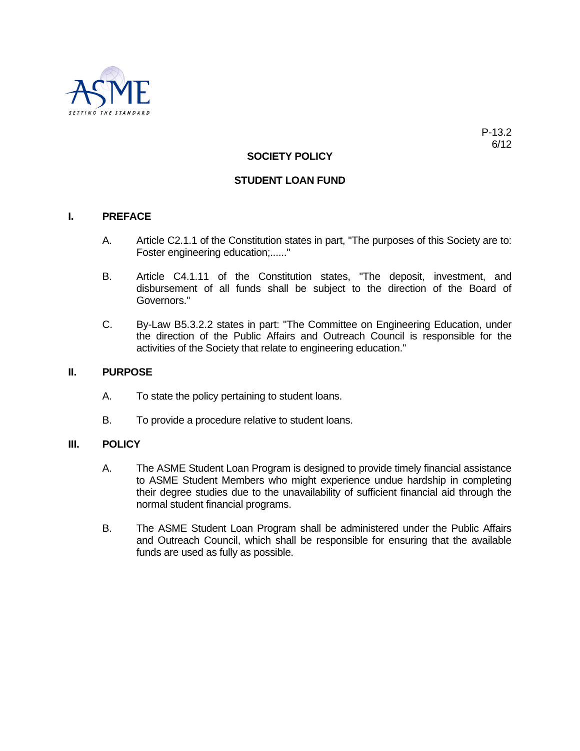

## **SOCIETY POLICY**

## **STUDENT LOAN FUND**

### **I. PREFACE**

- A. Article C2.1.1 of the Constitution states in part, "The purposes of this Society are to: Foster engineering education;......"
- B. Article C4.1.11 of the Constitution states, "The deposit, investment, and disbursement of all funds shall be subject to the direction of the Board of Governors."
- C. By-Law B5.3.2.2 states in part: "The Committee on Engineering Education, under the direction of the Public Affairs and Outreach Council is responsible for the activities of the Society that relate to engineering education."

#### **II. PURPOSE**

- A. To state the policy pertaining to student loans.
- B. To provide a procedure relative to student loans.

## **III. POLICY**

- A. The ASME Student Loan Program is designed to provide timely financial assistance to ASME Student Members who might experience undue hardship in completing their degree studies due to the unavailability of sufficient financial aid through the normal student financial programs.
- B. The ASME Student Loan Program shall be administered under the Public Affairs and Outreach Council, which shall be responsible for ensuring that the available funds are used as fully as possible.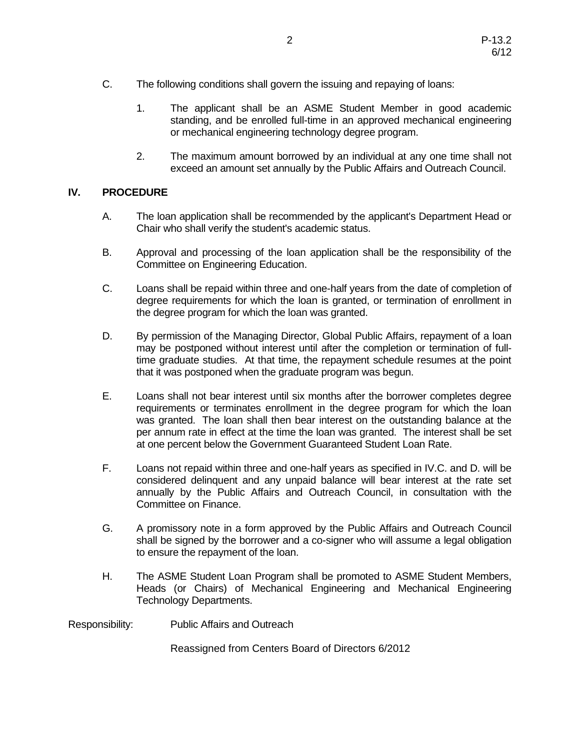- C. The following conditions shall govern the issuing and repaying of loans:
	- 1. The applicant shall be an ASME Student Member in good academic standing, and be enrolled full-time in an approved mechanical engineering or mechanical engineering technology degree program.
	- 2. The maximum amount borrowed by an individual at any one time shall not exceed an amount set annually by the Public Affairs and Outreach Council.

# **IV. PROCEDURE**

- A. The loan application shall be recommended by the applicant's Department Head or Chair who shall verify the student's academic status.
- B. Approval and processing of the loan application shall be the responsibility of the Committee on Engineering Education.
- C. Loans shall be repaid within three and one-half years from the date of completion of degree requirements for which the loan is granted, or termination of enrollment in the degree program for which the loan was granted.
- D. By permission of the Managing Director, Global Public Affairs, repayment of a loan may be postponed without interest until after the completion or termination of fulltime graduate studies. At that time, the repayment schedule resumes at the point that it was postponed when the graduate program was begun.
- E. Loans shall not bear interest until six months after the borrower completes degree requirements or terminates enrollment in the degree program for which the loan was granted. The loan shall then bear interest on the outstanding balance at the per annum rate in effect at the time the loan was granted. The interest shall be set at one percent below the Government Guaranteed Student Loan Rate.
- F. Loans not repaid within three and one-half years as specified in IV.C. and D. will be considered delinquent and any unpaid balance will bear interest at the rate set annually by the Public Affairs and Outreach Council, in consultation with the Committee on Finance.
- G. A promissory note in a form approved by the Public Affairs and Outreach Council shall be signed by the borrower and a co-signer who will assume a legal obligation to ensure the repayment of the loan.
- H. The ASME Student Loan Program shall be promoted to ASME Student Members, Heads (or Chairs) of Mechanical Engineering and Mechanical Engineering Technology Departments.
- Responsibility: Public Affairs and Outreach

Reassigned from Centers Board of Directors 6/2012